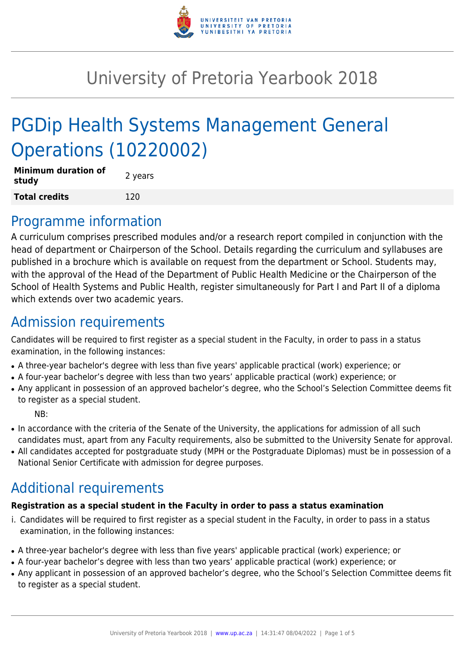

# University of Pretoria Yearbook 2018

# PGDip Health Systems Management General Operations (10220002)

| <b>Minimum duration of</b><br>study | 2 years |
|-------------------------------------|---------|
| <b>Total credits</b>                | 120     |

### Programme information

A curriculum comprises prescribed modules and/or a research report compiled in conjunction with the head of department or Chairperson of the School. Details regarding the curriculum and syllabuses are published in a brochure which is available on request from the department or School. Students may, with the approval of the Head of the Department of Public Health Medicine or the Chairperson of the School of Health Systems and Public Health, register simultaneously for Part I and Part II of a diploma which extends over two academic years.

# Admission requirements

Candidates will be required to first register as a special student in the Faculty, in order to pass in a status examination, in the following instances:

- A three-year bachelor's degree with less than five years' applicable practical (work) experience; or
- A four-year bachelor's degree with less than two years' applicable practical (work) experience; or
- Any applicant in possession of an approved bachelor's degree, who the School's Selection Committee deems fit to register as a special student.

NB:

- In accordance with the criteria of the Senate of the University, the applications for admission of all such candidates must, apart from any Faculty requirements, also be submitted to the University Senate for approval.
- All candidates accepted for postgraduate study (MPH or the Postgraduate Diplomas) must be in possession of a National Senior Certificate with admission for degree purposes.

# Additional requirements

#### **Registration as a special student in the Faculty in order to pass a status examination**

- i. Candidates will be required to first register as a special student in the Faculty, in order to pass in a status examination, in the following instances:
- A three-year bachelor's degree with less than five years' applicable practical (work) experience; or
- A four-year bachelor's degree with less than two years' applicable practical (work) experience; or
- Any applicant in possession of an approved bachelor's degree, who the School's Selection Committee deems fit to register as a special student.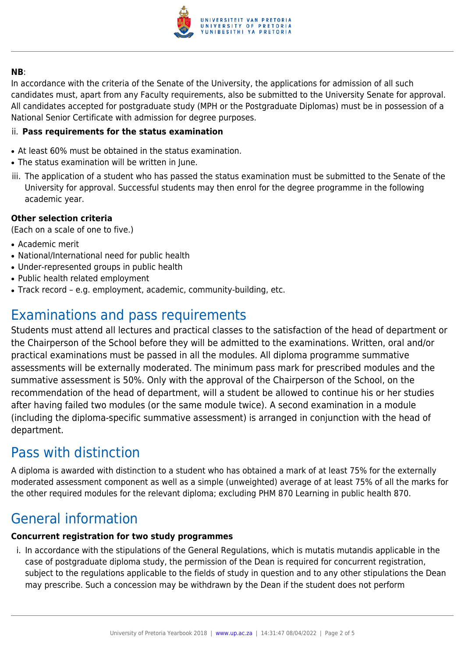

#### **NB**:

In accordance with the criteria of the Senate of the University, the applications for admission of all such candidates must, apart from any Faculty requirements, also be submitted to the University Senate for approval. All candidates accepted for postgraduate study (MPH or the Postgraduate Diplomas) must be in possession of a National Senior Certificate with admission for degree purposes.

#### ii. **Pass requirements for the status examination**

- At least 60% must be obtained in the status examination.
- The status examination will be written in June.
- iii. The application of a student who has passed the status examination must be submitted to the Senate of the University for approval. Successful students may then enrol for the degree programme in the following academic year.

#### **Other selection criteria**

(Each on a scale of one to five.)

- Academic merit
- National/International need for public health
- Under-represented groups in public health
- Public health related employment
- Track record e.g. employment, academic, community-building, etc.

# Examinations and pass requirements

Students must attend all lectures and practical classes to the satisfaction of the head of department or the Chairperson of the School before they will be admitted to the examinations. Written, oral and/or practical examinations must be passed in all the modules. All diploma programme summative assessments will be externally moderated. The minimum pass mark for prescribed modules and the summative assessment is 50%. Only with the approval of the Chairperson of the School, on the recommendation of the head of department, will a student be allowed to continue his or her studies after having failed two modules (or the same module twice). A second examination in a module (including the diploma-specific summative assessment) is arranged in conjunction with the head of department.

# Pass with distinction

A diploma is awarded with distinction to a student who has obtained a mark of at least 75% for the externally moderated assessment component as well as a simple (unweighted) average of at least 75% of all the marks for the other required modules for the relevant diploma; excluding PHM 870 Learning in public health 870.

### General information

#### **Concurrent registration for two study programmes**

i. In accordance with the stipulations of the General Regulations, which is mutatis mutandis applicable in the case of postgraduate diploma study, the permission of the Dean is required for concurrent registration, subject to the regulations applicable to the fields of study in question and to any other stipulations the Dean may prescribe. Such a concession may be withdrawn by the Dean if the student does not perform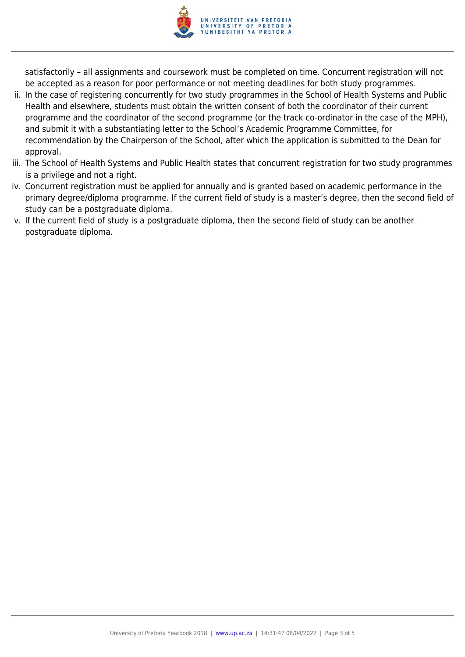

satisfactorily – all assignments and coursework must be completed on time. Concurrent registration will not be accepted as a reason for poor performance or not meeting deadlines for both study programmes.

- ii. In the case of registering concurrently for two study programmes in the School of Health Systems and Public Health and elsewhere, students must obtain the written consent of both the coordinator of their current programme and the coordinator of the second programme (or the track co-ordinator in the case of the MPH), and submit it with a substantiating letter to the School's Academic Programme Committee, for recommendation by the Chairperson of the School, after which the application is submitted to the Dean for approval.
- iii. The School of Health Systems and Public Health states that concurrent registration for two study programmes is a privilege and not a right.
- iv. Concurrent registration must be applied for annually and is granted based on academic performance in the primary degree/diploma programme. If the current field of study is a master's degree, then the second field of study can be a postgraduate diploma.
- v. If the current field of study is a postgraduate diploma, then the second field of study can be another postgraduate diploma.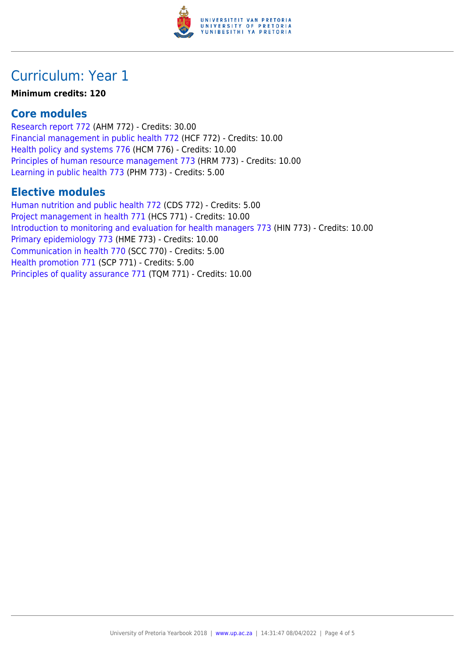

# Curriculum: Year 1

#### **Minimum credits: 120**

### **Core modules**

[Research report 772](https://www.up.ac.za/faculty-of-education/yearbooks/2018/modules/view/AHM 772) (AHM 772) - Credits: 30.00 [Financial management in public health 772](https://www.up.ac.za/faculty-of-education/yearbooks/2018/modules/view/HCF 772) (HCF 772) - Credits: 10.00 [Health policy and systems 776](https://www.up.ac.za/faculty-of-education/yearbooks/2018/modules/view/HCM 776) (HCM 776) - Credits: 10.00 [Principles of human resource management 773](https://www.up.ac.za/faculty-of-education/yearbooks/2018/modules/view/HRM 773) (HRM 773) - Credits: 10.00 [Learning in public health 773](https://www.up.ac.za/faculty-of-education/yearbooks/2018/modules/view/PHM 773) (PHM 773) - Credits: 5.00

### **Elective modules**

[Human nutrition and public health 772](https://www.up.ac.za/faculty-of-education/yearbooks/2018/modules/view/CDS 772) (CDS 772) - Credits: 5.00 [Project management in health 771](https://www.up.ac.za/faculty-of-education/yearbooks/2018/modules/view/HCS 771) (HCS 771) - Credits: 10.00 [Introduction to monitoring and evaluation for health managers 773](https://www.up.ac.za/faculty-of-education/yearbooks/2018/modules/view/HIN 773) (HIN 773) - Credits: 10.00 [Primary epidemiology 773](https://www.up.ac.za/faculty-of-education/yearbooks/2018/modules/view/HME 773) (HME 773) - Credits: 10.00 [Communication in health 770](https://www.up.ac.za/faculty-of-education/yearbooks/2018/modules/view/SCC 770) (SCC 770) - Credits: 5.00 [Health promotion 771](https://www.up.ac.za/faculty-of-education/yearbooks/2018/modules/view/SCP 771) (SCP 771) - Credits: 5.00 [Principles of quality assurance 771](https://www.up.ac.za/faculty-of-education/yearbooks/2018/modules/view/TQM 771) (TQM 771) - Credits: 10.00